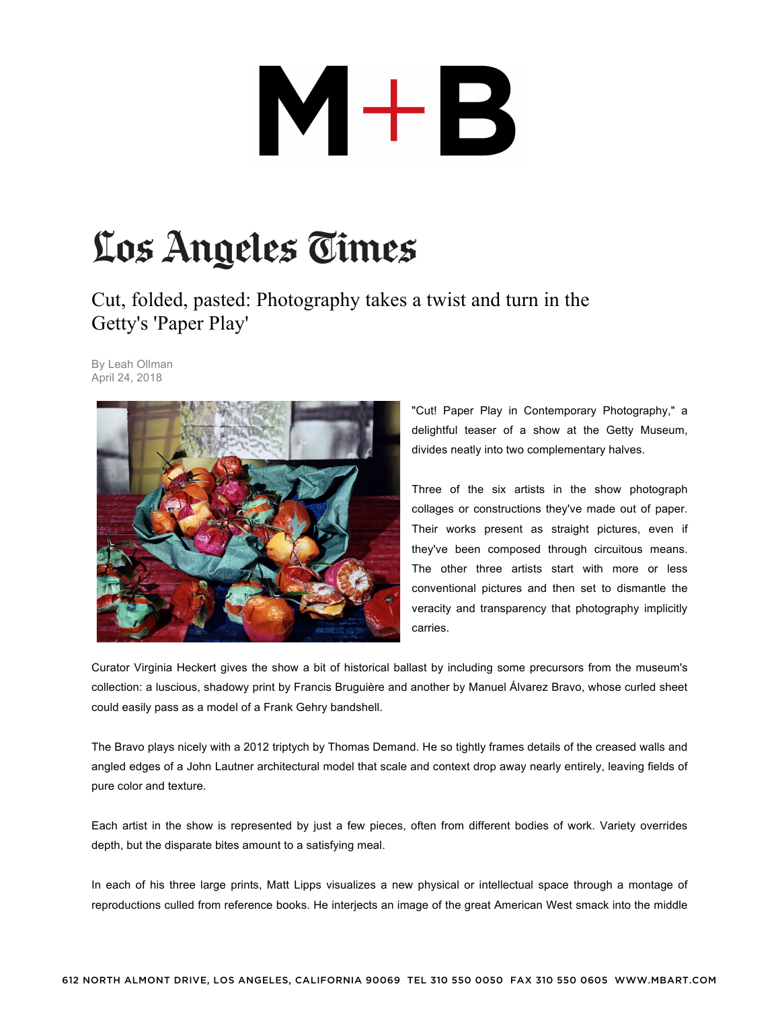## $M+B$

## Los Angeles Times

Cut, folded, pasted: Photography takes a twist and turn in the Getty's 'Paper Play'

By Leah Ollman April 24, 2018



"Cut! Paper Play in Contemporary Photography," a delightful teaser of a show at the Getty Museum, divides neatly into two complementary halves.

Three of the six artists in the show photograph collages or constructions they've made out of paper. Their works present as straight pictures, even if they've been composed through circuitous means. The other three artists start with more or less conventional pictures and then set to dismantle the veracity and transparency that photography implicitly carries.

Curator Virginia Heckert gives the show a bit of historical ballast by including some precursors from the museum's collection: a luscious, shadowy print by Francis Bruguière and another by Manuel Álvarez Bravo, whose curled sheet could easily pass as a model of a Frank Gehry bandshell.

The Bravo plays nicely with a 2012 triptych by Thomas Demand. He so tightly frames details of the creased walls and angled edges of a John Lautner architectural model that scale and context drop away nearly entirely, leaving fields of pure color and texture.

Each artist in the show is represented by just a few pieces, often from different bodies of work. Variety overrides depth, but the disparate bites amount to a satisfying meal.

In each of his three large prints, Matt Lipps visualizes a new physical or intellectual space through a montage of reproductions culled from reference books. He interjects an image of the great American West smack into the middle